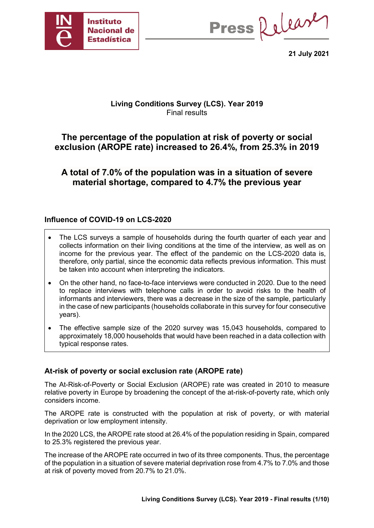

Press Release

**21 July 2021**

# **Living Conditions Survey (LCS). Year 2019** Final results

# **The percentage of the population at risk of poverty or social exclusion (AROPE rate) increased to 26.4%, from 25.3% in 2019**

**A total of 7.0% of the population was in a situation of severe material shortage, compared to 4.7% the previous year**

# **Influence of COVID-19 on LCS-2020**

- The LCS surveys a sample of households during the fourth quarter of each year and collects information on their living conditions at the time of the interview, as well as on income for the previous year. The effect of the pandemic on the LCS-2020 data is, therefore, only partial, since the economic data reflects previous information. This must be taken into account when interpreting the indicators.
- On the other hand, no face-to-face interviews were conducted in 2020. Due to the need to replace interviews with telephone calls in order to avoid risks to the health of informants and interviewers, there was a decrease in the size of the sample, particularly in the case of new participants (households collaborate in this survey for four consecutive years).
- The effective sample size of the 2020 survey was 15,043 households, compared to approximately 18,000 households that would have been reached in a data collection with typical response rates.

# **At-risk of poverty or social exclusion rate (AROPE rate)**

The At-Risk-of-Poverty or Social Exclusion (AROPE) rate was created in 2010 to measure relative poverty in Europe by broadening the concept of the at-risk-of-poverty rate, which only considers income.

The AROPE rate is constructed with the population at risk of poverty, or with material deprivation or low employment intensity.

In the 2020 LCS, the AROPE rate stood at 26.4% of the population residing in Spain, compared to 25.3% registered the previous year.

The increase of the AROPE rate occurred in two of its three components. Thus, the percentage of the population in a situation of severe material deprivation rose from 4.7% to 7.0% and those at risk of poverty moved from 20.7% to 21.0%.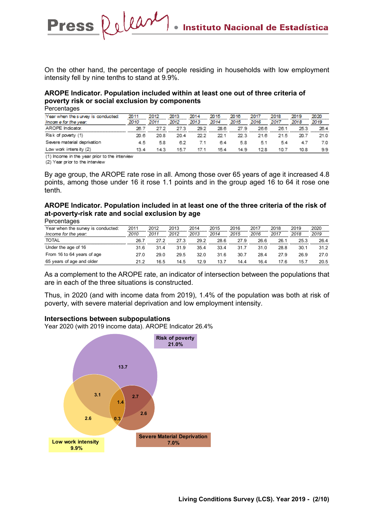On the other hand, the percentage of people residing in households with low employment intensity fell by nine tenths to stand at 9.9%.

### **AROPE Indicator. Population included within at least one out of three criteria of poverty risk or social exclusion by components**

**Percentages** 

| Year when the survey is conducted: | 2011  | 2012 | 2013 | 2014 | 2015 | 2016 | 2017 | 2018 | 2019 | 2020 |
|------------------------------------|-------|------|------|------|------|------|------|------|------|------|
| Income for the year:               | 2010  | 2011 | 2012 | 2013 | 2014 | 2015 | 2016 | 2017 | 2018 | 2019 |
| AROPE Indicator.                   | -26 V | 27 Z | 27.3 | 29.2 | 28.6 | 27.9 | 26.6 | 26.1 | 25.3 | 26.4 |
| Risk of poverty (1)                | 20.B  | 20.8 | 20.4 | 22 Z | 22.1 | 22.3 | 21 B | 21.5 | 20.7 | 21.0 |
| Severe material deprivation        | 45    | 58   | 6.2  | 7.1  | 64   | 5.8  | 5.1  | 54   |      | 7.0  |
| Low work intensity (2)             | 13.4  | 14.3 | 157  | 17.1 | 15.4 | 14.9 | 128  | 10.7 | 10.8 | 9.9  |

(1) Income in the year prior to the interview

Press Relear

(2) Year prior to the interview

By age group, the AROPE rate rose in all. Among those over 65 years of age it increased 4.8 points, among those under 16 it rose 1.1 points and in the group aged 16 to 64 it rose one tenth.

### **AROPE Indicator. Population included in at least one of the three criteria of the risk of at-poverty-risk rate and social exclusion by age**

| Percentages |  |
|-------------|--|
|-------------|--|

| Year when the survey is conducted: | 2011 | 2012 | 2013 | 2014 | 2015 | 2016 | 2017 | 2018 | 2019 | 2020 |
|------------------------------------|------|------|------|------|------|------|------|------|------|------|
| Income for the year:               | 2010 | 2011 | 2012 | 2013 | 2014 | 2015 | 2016 | 2017 | 2018 | 2019 |
| TOTAL                              | 26.7 | 27.2 | 27.3 | 29.2 | 28.6 | 27.9 | 26.6 | 26.1 | 25.3 | 26.4 |
| Under the age of 16                | 31.6 | 31.4 | 31.9 | 35.4 | 33.4 | 31.7 | 31.0 | 28.8 | 30.1 | 31.2 |
| From 16 to 64 years of age         | 27.0 | 29.0 | 29.5 | 32.0 | 31.6 | 30.7 | 28.4 | 27.9 | 26.9 | 27.0 |
| 65 years of age and older          | 21.2 | 16.5 | 14.5 | 12.9 | 13.7 | 14.4 | 16.4 | 17.6 | 15.7 | 20.5 |

As a complement to the AROPE rate, an indicator of intersection between the populations that are in each of the three situations is constructed.

Thus, in 2020 (and with income data from 2019), 1.4% of the population was both at risk of poverty, with severe material deprivation and low employment intensity.

#### **Intersections between subpopulations**

Year 2020 (with 2019 income data). AROPE Indicator 26.4%

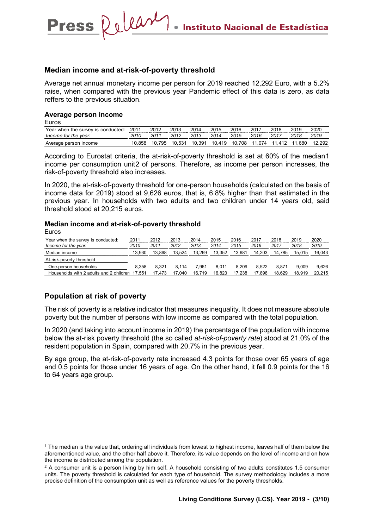### **Median income and at-risk-of-poverty threshold**

Press Relear

Average net annual monetary income per person for 2019 reached 12,292 Euro, with a 5.2% raise, when compared with the previous year Pandemic effect of this data is zero, as data reffers to the previous situation.

#### **Average person income**

Euros

| Year when the survey is conducted: | 2011   | 2012   | 2013   | 2014   | 2015   | 2016   | 2017   | 2018   | 2019 | 2020<br> |
|------------------------------------|--------|--------|--------|--------|--------|--------|--------|--------|------|----------|
| Income for the vear:               | 2010   | 2011   | 2012   | 2013   | 2014   | 2015   | 2016   | 2017   | 2018 | 2019     |
| Average person income              | 10.858 | 10.795 | 10.531 | 10.391 | 10.419 | 10.708 | 11.074 | 11.412 | .680 |          |

According to Eurostat criteria, the at-risk-of-poverty threshold is set at 60% of the median[1](#page-2-0) income per consumption unit[2](#page-2-1) of persons. Therefore, as income per person increases, the risk-of-poverty threshold also increases.

In 2020, the at-risk-of-poverty threshold for one-person households (calculated on the basis of income data for 2019) stood at 9,626 euros, that is, 6.8% higher than that estimated in the previous year. In households with two adults and two children under 14 years old, said threshold stood at 20,215 euros.

#### **Median income and at-risk-of-poverty threshold**

Euros

| Year when the survey is conducted:<br>Income for the year: | 2011<br>2010 | 2012<br>2011 | 2013<br>2012 | 2014<br>2013 | 2015<br>2014 | 2016<br>2015 | 2017<br>2016 | 2018<br>2017 | 2019<br>2018 | 2020<br>2019 |
|------------------------------------------------------------|--------------|--------------|--------------|--------------|--------------|--------------|--------------|--------------|--------------|--------------|
| Median income                                              | 13.930       | 13.868       | 13.524       | 13.269       | 13.352       | 13.681       | 14.203       | 14.785       | 15.015       | 16.043       |
| At-risk-poverty threshold                                  |              |              |              |              |              |              |              |              |              |              |
| One-person households                                      | 8.358        | 8.321        | 8.114        | 7.961        | 8.011        | 8.209        | 8.522        | 8.871        | 9.009        | 9.626        |
| Households with 2 adults and 2 children                    | 17.551       | 17.473       | 17.040       | 16.719       | 16.823       | 17.238       | 17.896       | 18.629       | 18.919       | 20.215       |

### **Population at risk of poverty**

The risk of poverty is a relative indicator that measures inequality. It does not measure absolute poverty but the number of persons with low income as compared with the total population.

In 2020 (and taking into account income in 2019) the percentage of the population with income below the at-risk poverty threshold (the so called *at-risk-of-poverty rate*) stood at 21.0% of the resident population in Spain, compared with 20.7% in the previous year.

By age group, the at-risk-of-poverty rate increased 4.3 points for those over 65 years of age and 0.5 points for those under 16 years of age. On the other hand, it fell 0.9 points for the 16 to 64 years age group.

<span id="page-2-0"></span> <sup>1</sup> The median is the value that, ordering all individuals from lowest to highest income, leaves half of them below the aforementioned value, and the other half above it. Therefore, its value depends on the level of income and on how the income is distributed among the population.

<span id="page-2-1"></span><sup>&</sup>lt;sup>2</sup> A consumer unit is a person living by him self. A household consisting of two adults constitutes 1.5 consumer units. The poverty threshold is calculated for each type of household. The survey methodology includes a more precise definition of the consumption unit as well as reference values for the poverty thresholds.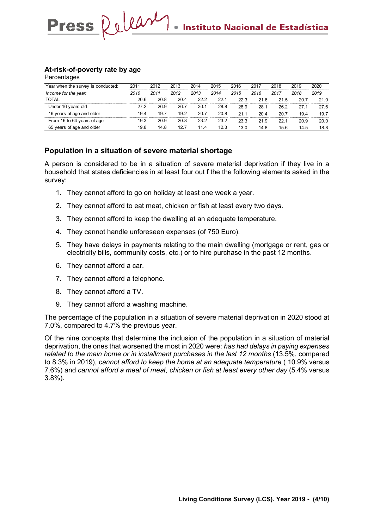### **At-risk-of-poverty rate by age**

**Percentages** 

| Year when the survey is conducted: | 2011 | 2012 | 2013 | 2014 | 2015 | 2016 | 2017 | 2018 | 2019 | 2020 |
|------------------------------------|------|------|------|------|------|------|------|------|------|------|
| Income for the year:               | 2010 | 2011 | 2012 | 2013 | 2014 | 2015 | 2016 | 2017 | 2018 | 2019 |
| TOTAL                              | 20.6 | 20.8 | 20.4 | 22.2 | 22.1 | 22.3 | 21.6 | 21.5 | 20.7 | 21.0 |
| Under 16 years old                 | 27.2 | 26.9 | 26.7 | 30.1 | 28.8 | 28.9 | 28.1 | 26.2 | 27.1 | 27.6 |
| 16 years of age and older          | 19.4 | 19.7 | 19.2 | 20.7 | 20.8 | 21.1 | 20.4 | 20.7 | 19.4 | 19.7 |
| From 16 to 64 years of age         | 19.3 | 20.9 | 20.8 | 23.2 | 23.2 | 23.3 | 21.9 | 22.1 | 20.9 | 20.0 |
| 65 years of age and older          | 19.8 | 14.8 | 12.7 | 11.4 | 12.3 | 13.0 | 14.8 | 15.6 | 14.5 | 18.8 |

### **Population in a situation of severe material shortage**

A person is considered to be in a situation of severe material deprivation if they live in a household that states deficiencies in at least four out f the the following elements asked in the survey:

- 1. They cannot afford to go on holiday at least one week a year.
- 2. They cannot afford to eat meat, chicken or fish at least every two days.
- 3. They cannot afford to keep the dwelling at an adequate temperature.
- 4. They cannot handle unforeseen expenses (of 750 Euro).
- 5. They have delays in payments relating to the main dwelling (mortgage or rent, gas or electricity bills, community costs, etc.) or to hire purchase in the past 12 months.
- 6. They cannot afford a car.
- 7. They cannot afford a telephone.
- 8. They cannot afford a TV.
- 9. They cannot afford a washing machine.

The percentage of the population in a situation of severe material deprivation in 2020 stood at 7.0%, compared to 4.7% the previous year.

Of the nine concepts that determine the inclusion of the population in a situation of material deprivation, the ones that worsened the most in 2020 were: *has had delays in paying expenses related to the main home or in installment purchases in the last 12 months* (13.5%, compared to 8.3% in 2019), *cannot afford to keep the home at an adequate temperature* ( 10.9% versus 7.6%) and *cannot afford a meal of meat, chicken or fish at least every other day* (5.4% versus 3.8%).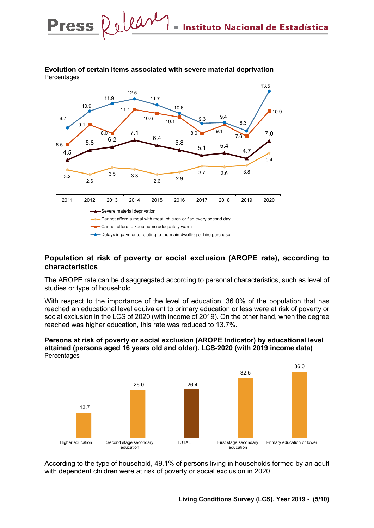

#### **Evolution of certain items associated with severe material deprivation Percentages**

Press Relear

### **Population at risk of poverty or social exclusion (AROPE rate), according to characteristics**

The AROPE rate can be disaggregated according to personal characteristics, such as level of studies or type of household.

With respect to the importance of the level of education, 36.0% of the population that has reached an educational level equivalent to primary education or less were at risk of poverty or social exclusion in the LCS of 2020 (with income of 2019). On the other hand, when the degree reached was higher education, this rate was reduced to 13.7%.



**Persons at risk of poverty or social exclusion (AROPE Indicator) by educational level attained (persons aged 16 years old and older). LCS-2020 (with 2019 income data) Percentages** 

According to the type of household, 49.1% of persons living in households formed by an adult with dependent children were at risk of poverty or social exclusion in 2020.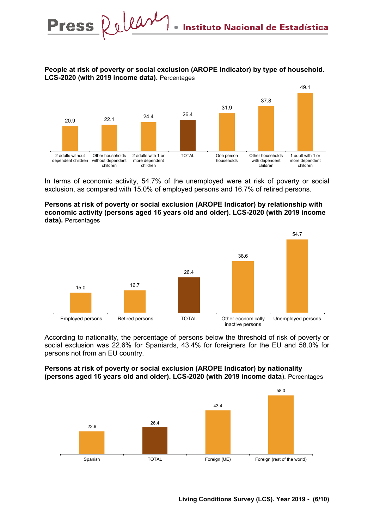### **People at risk of poverty or social exclusion (AROPE Indicator) by type of household. LCS-2020 (with 2019 income data).** Percentages



In terms of economic activity, 54.7% of the unemployed were at risk of poverty or social exclusion, as compared with 15.0% of employed persons and 16.7% of retired persons.

#### **Persons at risk of poverty or social exclusion (AROPE Indicator) by relationship with economic activity (persons aged 16 years old and older). LCS-2020 (with 2019 income data).** Percentages



According to nationality, the percentage of persons below the threshold of risk of poverty or social exclusion was 22.6% for Spaniards, 43.4% for foreigners for the EU and 58.0% for persons not from an EU country.

### **Persons at risk of poverty or social exclusion (AROPE Indicator) by nationality (persons aged 16 years old and older). LCS-2020 (with 2019 income data**). Percentages

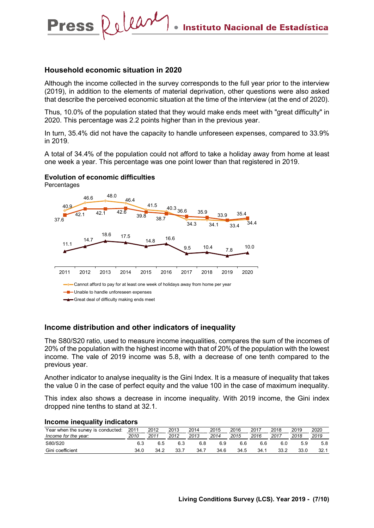### **Household economic situation in 2020**

Relear

Although the income collected in the survey corresponds to the full year prior to the interview (2019), in addition to the elements of material deprivation, other questions were also asked that describe the perceived economic situation at the time of the interview (at the end of 2020).

Thus, 10.0% of the population stated that they would make ends meet with "great difficulty" in 2020. This percentage was 2.2 points higher than in the previous year.

In turn, 35.4% did not have the capacity to handle unforeseen expenses, compared to 33.9% in 2019.

A total of 34.4% of the population could not afford to take a holiday away from home at least one week a year. This percentage was one point lower than that registered in 2019.

### **Evolution of economic difficulties**

**Percentages** 

**Press** 



#### **Income distribution and other indicators of inequality**

The S80/S20 ratio, used to measure income inequalities, compares the sum of the incomes of 20% of the population with the highest income with that of 20% of the population with the lowest income. The vale of 2019 income was 5.8, with a decrease of one tenth compared to the previous year.

Another indicator to analyse inequality is the Gini Index. It is a measure of inequality that takes the value 0 in the case of perfect equity and the value 100 in the case of maximum inequality.

This index also shows a decrease in income inequality. With 2019 income, the Gini index dropped nine tenths to stand at 32.1.

# **Income inequality indicators**

| Year when the survey is conducted: | 2011<br>******************* | 2012 | 2013 | 2014 | 2015 | 2016 | 2017<br>------------------- | 2018 | 2019<br>,,,,,,,,,,,,,,,,,,,,,,, | 2020 |
|------------------------------------|-----------------------------|------|------|------|------|------|-----------------------------|------|---------------------------------|------|
| Income for the year:               | 2010                        | 2011 | 2012 | 2013 | 2014 | 2015 | 2016                        | 2017 | 2018                            | 2019 |
| S80/S20                            |                             | 6.5  |      | 6.8  | 6.9  | 6.6  | 6.6                         | 6.0  | 5.9                             | 5.8  |
| Gini coefficient                   | 34.0                        | 34.2 | 33.7 | 34.  | 34.6 | 34.5 | 34.1                        | 33.2 | 33.0                            | 32.1 |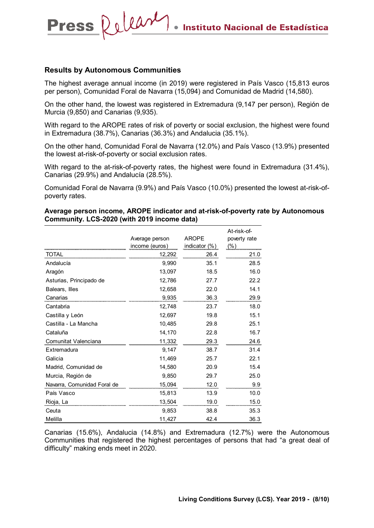### **Results by Autonomous Communities**

Press Release

The highest average annual income (in 2019) were registered in País Vasco (15,813 euros per person), Comunidad Foral de Navarra (15,094) and Comunidad de Madrid (14,580).

On the other hand, the lowest was registered in Extremadura (9,147 per person), Región de Murcia (9,850) and Canarias (9,935).

With regard to the AROPE rates of risk of poverty or social exclusion, the highest were found in Extremadura (38.7%), Canarias (36.3%) and Andalucia (35.1%).

On the other hand, Comunidad Foral de Navarra (12.0%) and País Vasco (13.9%) presented the lowest at-risk-of-poverty or social exclusion rates.

With regard to the at-risk-of-poverty rates, the highest were found in Extremadura (31.4%), Canarias (29.9%) and Andalucía (28.5%).

Comunidad Foral de Navarra (9.9%) and País Vasco (10.0%) presented the lowest at-risk-ofpoverty rates.

#### **Average person income, AROPE indicator and at-risk-of-poverty rate by Autonomous Community. LCS-2020 (with 2019 income data)**

|                             | Average person<br>income (euros) | <b>AROPE</b><br>indicator (%) | At-risk-of-<br>poverty rate<br>(% ) |
|-----------------------------|----------------------------------|-------------------------------|-------------------------------------|
| <b>TOTAL</b>                | 12,292                           | 26.4                          | 21.0                                |
| Andalucía                   | 9,990                            | 35.1                          | 28.5                                |
| Aragón                      | 13,097                           | 18.5                          | 16.0                                |
| Asturias, Principado de     | 12,786                           | 27.7                          | 22.2                                |
| Balears, Illes              | 12,658                           | 22.0                          | 14.1                                |
| Canarias                    | 9,935                            | 36.3                          | 29.9                                |
| Cantabria                   | 12,748                           | 23.7                          | 18.0                                |
| Castilla y León             | 12,697                           | 19.8                          | 15.1                                |
| Castilla - La Mancha        | 10,485                           | 29.8                          | 25.1                                |
| Cataluña                    | 14,170                           | 22.8                          | 16.7                                |
| Comunitat Valenciana        | 11,332                           | 29.3                          | 24.6                                |
| Extremadura                 | 9,147                            | 38.7                          | 31.4                                |
| Galicia                     | 11,469                           | 25.7                          | 22.1                                |
| Madrid, Comunidad de        | 14,580                           | 20.9                          | 15.4                                |
| Murcia, Región de           | 9,850                            | 29.7                          | 25.0                                |
| Navarra, Comunidad Foral de | 15,094                           | 12.0                          | 9.9                                 |
| País Vasco                  | 15,813                           | 13.9                          | 10.0                                |
| Rioja, La                   | 13,504                           | 19.0                          | 15.0                                |
| Ceuta                       | 9,853                            | 38.8                          | 35.3                                |
| Melilla                     | 11,427                           | 42.4                          | 36.3                                |

Canarias (15.6%), Andalucia (14.8%) and Extremadura (12.7%) were the Autonomous Communities that registered the highest percentages of persons that had "a great deal of difficulty" making ends meet in 2020.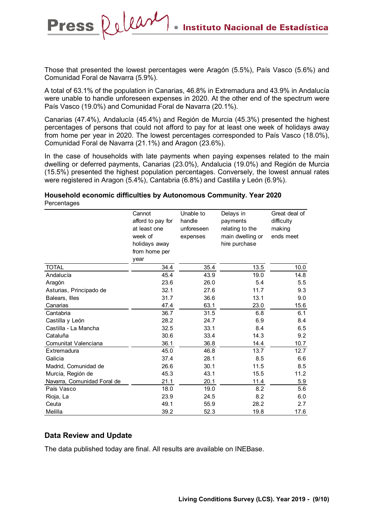Those that presented the lowest percentages were Aragón (5.5%), País Vasco (5.6%) and Comunidad Foral de Navarra (5.9%).

Press Release

A total of 63.1% of the population in Canarias, 46.8% in Extremadura and 43.9% in Andalucía were unable to handle unforeseen expenses in 2020. At the other end of the spectrum were País Vasco (19.0%) and Comunidad Foral de Navarra (20.1%).

Canarias (47.4%), Andalucía (45.4%) and Región de Murcia (45.3%) presented the highest percentages of persons that could not afford to pay for at least one week of holidays away from home per year in 2020. The lowest percentages corresponded to País Vasco (18.0%), Comunidad Foral de Navarra (21.1%) and Aragon (23.6%).

In the case of households with late payments when paying expenses related to the main dwelling or deferred payments, Canarias (23.0%), Andalucia (19.0%) and Región de Murcia (15.5%) presented the highest population percentages. Conversely, the lowest annual rates were registered in Aragon (5.4%), Cantabria (6.8%) and Castilla y León (6.9%).

#### **Household economic difficulties by Autonomous Community. Year 2020 Percentages**

|                             | Cannot            | Unable to  | Delays in        | Great deal of |
|-----------------------------|-------------------|------------|------------------|---------------|
|                             | afford to pay for | handle     | payments         | difficulty    |
|                             | at least one      | unforeseen | relating to the  | making        |
|                             | week of           | expenses   | main dwelling or | ends meet     |
|                             | holidays away     |            | hire purchase    |               |
|                             | from home per     |            |                  |               |
|                             | year              |            |                  |               |
| <b>TOTAL</b>                | 34.4              | 35.4       | 13.5             | 10.0          |
| Andalucía                   | 45.4              | 43.9       | 19.0             | 14.8          |
| Aragón                      | 23.6              | 26.0       | 5.4              | 5.5           |
| Asturias, Principado de     | 32.1              | 27.6       | 11.7             | 9.3           |
| Balears, Illes              | 31.7              | 36.6       | 13.1             | 9.0           |
| Canarias                    | 47.4              | 63.1       | 23.0             | 15.6          |
| Cantabria                   | 36.7              | 31.5       | 6.8              | 6.1           |
| Castilla y León             | 28.2              | 24.7       | 6.9              | 8.4           |
| Castilla - La Mancha        | 32.5              | 33.1       | 8.4              | 6.5           |
| Cataluña                    | 30.6              | 33.4       | 14.3             | 9.2           |
| Comunitat Valenciana        | 36.1              | 36.8       | 14.4             | 10.7          |
| Extremadura                 | 45.0              | 46.8       | 13.7             | 12.7          |
| Galicia                     | 37.4              | 28.1       | 8.5              | 6.6           |
| Madrid, Comunidad de        | 26.6              | 30.1       | 11.5             | 8.5           |
| Murcia, Región de           | 45.3              | 43.1       | 15.5             | 11.2          |
| Navarra, Comunidad Foral de | 21.1              | 20.1       | 11.4             | 5.9           |
| País Vasco                  | 18.0              | 19.0       | 8.2              | 5.6           |
| Rioja, La                   | 23.9              | 24.5       | 8.2              | 6.0           |
| Ceuta                       | 49.1              | 55.9       | 28.2             | 2.7           |
| Melilla                     | 39.2              | 52.3       | 19.8             | 17.6          |

### **Data Review and Update**

The data published today are final. All results are available on INEBase.